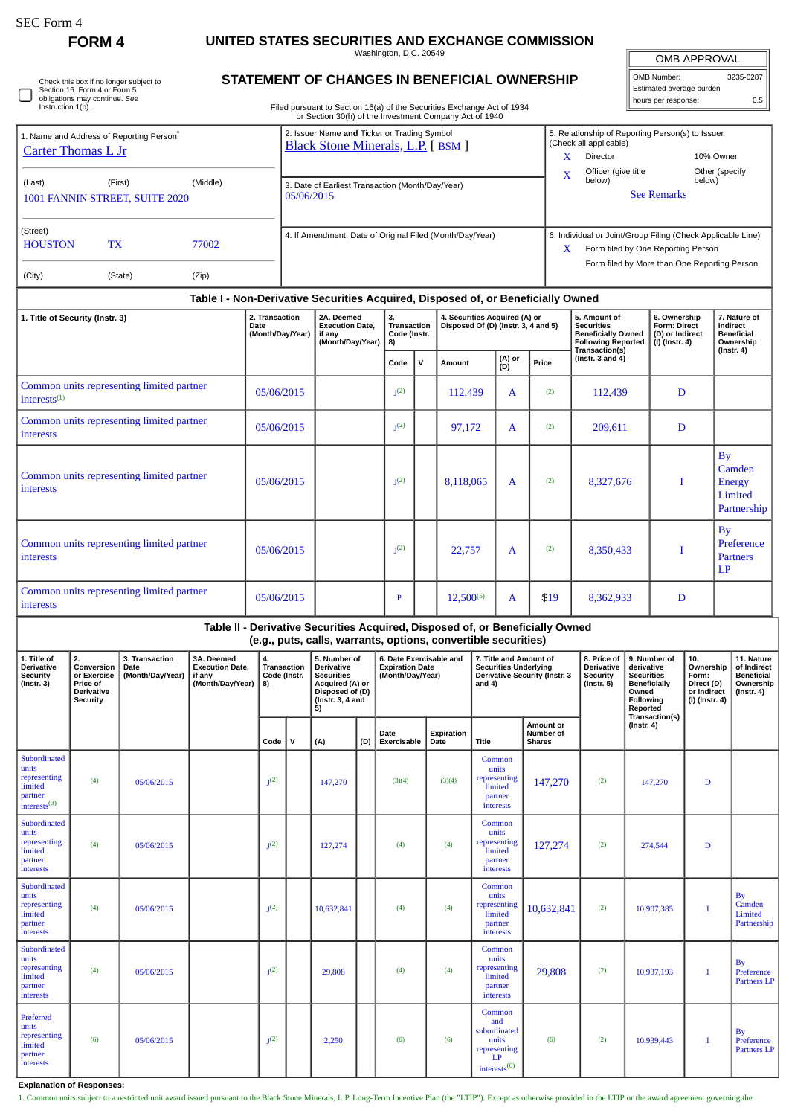## **FORM 4 UNITED STATES SECURITIES AND EXCHANGE COMMISSION**

Washington, D.C. 20549

OMB APPROVAL OMB Number: 3235-0287

Estimated average burden hours per response: 0.5

|  | Check this box if no longer subject to<br>Section 16. Form 4 or Form 5<br>obligations may continue. See<br>Instruction 1(b). |
|--|------------------------------------------------------------------------------------------------------------------------------|
|--|------------------------------------------------------------------------------------------------------------------------------|

## **STATEMENT OF CHANGES IN BENEFICIAL OWNERSHIP**

Filed pursuant to Section 16(a) of the Securities Exchange Act of 1934 or Section 30(h) of the Investment Company Act of 1940

|                                                      |                                                                                  |          |                                                                                  | or occupit over the investment company not or 1940                 |                                                                                                                                  |        |        |                                                                                                                                               |                                                                            |                                                                                                                                                        |                |  |  |
|------------------------------------------------------|----------------------------------------------------------------------------------|----------|----------------------------------------------------------------------------------|--------------------------------------------------------------------|----------------------------------------------------------------------------------------------------------------------------------|--------|--------|-----------------------------------------------------------------------------------------------------------------------------------------------|----------------------------------------------------------------------------|--------------------------------------------------------------------------------------------------------------------------------------------------------|----------------|--|--|
| 1. Name and Address of Reporting Person <sup>®</sup> |                                                                                  |          | 2. Issuer Name and Ticker or Trading Symbol<br>Black Stone Minerals, L.P. [BSM ] |                                                                    |                                                                                                                                  |        |        |                                                                                                                                               | 5. Relationship of Reporting Person(s) to Issuer<br>(Check all applicable) |                                                                                                                                                        |                |  |  |
| Carter Thomas L Jr                                   |                                                                                  |          |                                                                                  |                                                                    |                                                                                                                                  |        |        |                                                                                                                                               | x<br><b>Director</b>                                                       |                                                                                                                                                        | 10% Owner      |  |  |
| (Last)                                               | (First)                                                                          | (Middle) |                                                                                  |                                                                    |                                                                                                                                  |        |        | X                                                                                                                                             | Officer (give title<br>below)                                              | below)                                                                                                                                                 | Other (specify |  |  |
| 1001 FANNIN STREET, SUITE 2020                       |                                                                                  |          | 3. Date of Earliest Transaction (Month/Day/Year)<br>05/06/2015                   |                                                                    |                                                                                                                                  |        |        |                                                                                                                                               |                                                                            | <b>See Remarks</b>                                                                                                                                     |                |  |  |
| (Street)<br><b>HOUSTON</b>                           | <b>TX</b>                                                                        | 77002    |                                                                                  | 4. If Amendment, Date of Original Filed (Month/Day/Year)           |                                                                                                                                  |        |        |                                                                                                                                               |                                                                            | 6. Individual or Joint/Group Filing (Check Applicable Line)<br>X<br>Form filed by One Reporting Person<br>Form filed by More than One Reporting Person |                |  |  |
| (City)                                               | (State)                                                                          | (Zip)    |                                                                                  |                                                                    |                                                                                                                                  |        |        |                                                                                                                                               |                                                                            |                                                                                                                                                        |                |  |  |
|                                                      | Table I - Non-Derivative Securities Acquired, Disposed of, or Beneficially Owned |          |                                                                                  |                                                                    |                                                                                                                                  |        |        |                                                                                                                                               |                                                                            |                                                                                                                                                        |                |  |  |
| 1. Title of Security (Instr. 3)<br>Date              |                                                                                  |          | 2. Transaction<br>(Month/Day/Year)                                               | 2A. Deemed<br><b>Execution Date.</b><br>if anv<br>(Month/Day/Year) | 4. Securities Acquired (A) or<br>3.<br>Disposed Of (D) (Instr. 3, 4 and 5)<br><b>Transaction</b><br>Code (Instr.<br>8)<br>(A) or |        |        | 5. Amount of<br><b>Securities</b><br><b>Beneficially Owned</b><br><b>Following Reported</b><br><b>Transaction(s)</b><br>(Instr. $3$ and $4$ ) | 6. Ownership<br><b>Form: Direct</b><br>(D) or Indirect<br>(I) (Instr. 4)   | 7. Nature of<br>Indirect<br><b>Beneficial</b><br>Ownership<br>(Instr. 4)                                                                               |                |  |  |
|                                                      |                                                                                  |          |                                                                                  | Code                                                               | ν                                                                                                                                | Amount | $\sim$ | Price                                                                                                                                         |                                                                            |                                                                                                                                                        |                |  |  |

|                                                                       |            | Code             | ۱v | Amount         | $\sum_{i=1}^{n}$ | Price |           |   |                                                         |
|-----------------------------------------------------------------------|------------|------------------|----|----------------|------------------|-------|-----------|---|---------------------------------------------------------|
| Common units representing limited partner<br>interests <sup>(1)</sup> | 05/06/2015 | J <sup>(2)</sup> |    | 112,439        | A                | (2)   | 112,439   | D |                                                         |
| Common units representing limited partner<br>interests                | 05/06/2015 | J <sup>(2)</sup> |    | 97,172         | A                | (2)   | 209,611   | D |                                                         |
| Common units representing limited partner<br>interests                | 05/06/2015 | J <sup>(2)</sup> |    | 8,118,065      | A                | (2)   | 8,327,676 |   | By<br>Camden<br><b>Energy</b><br>Limited<br>Partnership |
| Common units representing limited partner<br><b>interests</b>         | 05/06/2015 | J <sup>(2)</sup> |    | 22,757         | $\mathbf{A}$     | (2)   | 8,350,433 |   | Bv<br>Preference<br><b>Partners</b><br>LP               |
| Common units representing limited partner<br>interests                | 05/06/2015 | P                |    | $12,500^{(5)}$ | A                | \$19  | 8,362,933 | D |                                                         |

**Table II - Derivative Securities Acquired, Disposed of, or Beneficially Owned**

**(e.g., puts, calls, warrants, options, convertible securities)**

| 1. Title of<br><b>Derivative</b><br>Security<br>$($ Instr. 3 $)$                        | 2.<br>Conversion<br>or Exercise<br>Price of<br><b>Derivative</b><br><b>Security</b> | 3. Transaction<br>Date<br>(Month/Day/Year) | 3A. Deemed<br><b>Execution Date.</b><br>if any<br>(Month/Day/Year) | 4.<br><b>Transaction</b><br>Code (Instr.<br>8) |   | 5. Number of<br><b>Derivative</b><br><b>Securities</b><br>Acquired (A) or<br>Disposed of (D)<br>(Instr. 3, 4 and<br>5) |     | 6. Date Exercisable and<br><b>Expiration Date</b><br>(Month/Day/Year) |                    | 7. Title and Amount of<br><b>Securities Underlying</b><br>and $4$ )                      | <b>Derivative Security (Instr. 3</b>    | 8. Price of<br><b>Derivative</b><br><b>Security</b><br>$($ Instr. 5 $)$ | 9. Number of<br>derivative<br><b>Securities</b><br>Beneficially<br>Owned<br>Following<br>Reported<br>Transaction(s) | 10.<br>Ownership<br>Form:<br>Direct (D)<br>or Indirect<br>(I) (Instr. 4) | 11. Nature<br>of Indirect<br><b>Beneficial</b><br>Ownership<br>$($ lnstr. 4 $)$ |
|-----------------------------------------------------------------------------------------|-------------------------------------------------------------------------------------|--------------------------------------------|--------------------------------------------------------------------|------------------------------------------------|---|------------------------------------------------------------------------------------------------------------------------|-----|-----------------------------------------------------------------------|--------------------|------------------------------------------------------------------------------------------|-----------------------------------------|-------------------------------------------------------------------------|---------------------------------------------------------------------------------------------------------------------|--------------------------------------------------------------------------|---------------------------------------------------------------------------------|
|                                                                                         |                                                                                     |                                            |                                                                    | Code                                           | v | (A)                                                                                                                    | (D) | Date<br>Exercisable                                                   | Expiration<br>Date | <b>Title</b>                                                                             | Amount or<br>Number of<br><b>Shares</b> |                                                                         | $($ Instr. 4 $)$                                                                                                    |                                                                          |                                                                                 |
| Subordinated<br>units<br>representing<br>limited<br>partner<br>interests <sup>(3)</sup> | (4)                                                                                 | 05/06/2015                                 |                                                                    | $I(2)$                                         |   | 147,270                                                                                                                |     | (3)(4)                                                                | (3)(4)             | Common<br>units<br>representing<br>limited<br>partner<br><b>interests</b>                | 147,270                                 | (2)                                                                     | 147,270                                                                                                             | D                                                                        |                                                                                 |
| Subordinated<br>units<br>representing<br>limited<br>partner<br>interests                | (4)                                                                                 | 05/06/2015                                 |                                                                    | $T(2)$                                         |   | 127,274                                                                                                                |     | (4)                                                                   | (4)                | Common<br>units<br>representing<br>limited<br>partner<br>interests                       | 127,274                                 | (2)                                                                     | 274,544                                                                                                             | D                                                                        |                                                                                 |
| Subordinated<br>units<br>representing<br>limited<br>partner<br>interests                | (4)                                                                                 | 05/06/2015                                 |                                                                    | $T(2)$                                         |   | 10,632,841                                                                                                             |     | (4)                                                                   | (4)                | Common<br>units<br>representing<br>limited<br>partner<br>interests                       | 10,632,841                              | (2)                                                                     | 10,907,385                                                                                                          | Т                                                                        | <b>By</b><br>Camden<br>Limited<br>Partnership                                   |
| Subordinated<br>units<br>representing<br>limited<br>partner<br>interests                | (4)                                                                                 | 05/06/2015                                 |                                                                    | $T(2)$                                         |   | 29,808                                                                                                                 |     | (4)                                                                   | (4)                | Common<br>units<br>representing<br>limited<br>partner<br>interests                       | 29,808                                  | (2)                                                                     | 10,937,193                                                                                                          | $\bf{I}$                                                                 | <b>By</b><br>Preference<br>Partners LP                                          |
| Preferred<br>units<br>representing<br>limited<br>partner<br>interests                   | (6)                                                                                 | 05/06/2015                                 |                                                                    | $1(2)$                                         |   | 2,250                                                                                                                  |     | (6)                                                                   | (6)                | Common<br>and<br>subordinated<br>units<br>representing<br>LP<br>interests <sup>(6)</sup> | (6)                                     | (2)                                                                     | 10,939,443                                                                                                          | 1                                                                        | By<br>Preference<br>Partners LP                                                 |

**Explanation of Responses:**

1. Common units subject to a restricted unit award issued pursuant to the Black Stone Minerals, L.P. Long-Term Incentive Plan (the "LTIP"). Except as otherwise provided in the LTIP or the award agreement governing the